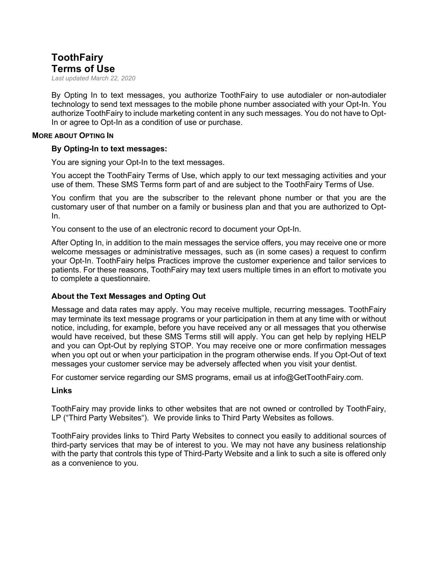# **ToothFairy Terms of Use**

*Last updated March 22, 2020*

By Opting In to text messages, you authorize ToothFairy to use autodialer or non-autodialer technology to send text messages to the mobile phone number associated with your Opt-In. You authorize ToothFairy to include marketing content in any such messages. You do not have to Opt-In or agree to Opt-In as a condition of use or purchase.

#### **MORE ABOUT OPTING IN**

## **By Opting-In to text messages:**

You are signing your Opt-In to the text messages.

You accept the ToothFairy Terms of Use, which apply to our text messaging activities and your use of them. These SMS Terms form part of and are subject to the ToothFairy Terms of Use.

You confirm that you are the subscriber to the relevant phone number or that you are the customary user of that number on a family or business plan and that you are authorized to Opt-In.

You consent to the use of an electronic record to document your Opt-In.

After Opting In, in addition to the main messages the service offers, you may receive one or more welcome messages or administrative messages, such as (in some cases) a request to confirm your Opt-In. ToothFairy helps Practices improve the customer experience and tailor services to patients. For these reasons, ToothFairy may text users multiple times in an effort to motivate you to complete a questionnaire.

## **About the Text Messages and Opting Out**

Message and data rates may apply. You may receive multiple, recurring messages. ToothFairy may terminate its text message programs or your participation in them at any time with or without notice, including, for example, before you have received any or all messages that you otherwise would have received, but these SMS Terms still will apply. You can get help by replying HELP and you can Opt-Out by replying STOP. You may receive one or more confirmation messages when you opt out or when your participation in the program otherwise ends. If you Opt-Out of text messages your customer service may be adversely affected when you visit your dentist.

For customer service regarding our SMS programs, email us at info@GetToothFairy.com.

## **Links**

ToothFairy may provide links to other websites that are not owned or controlled by ToothFairy, LP ("Third Party Websites"). We provide links to Third Party Websites as follows.

ToothFairy provides links to Third Party Websites to connect you easily to additional sources of third-party services that may be of interest to you. We may not have any business relationship with the party that controls this type of Third-Party Website and a link to such a site is offered only as a convenience to you.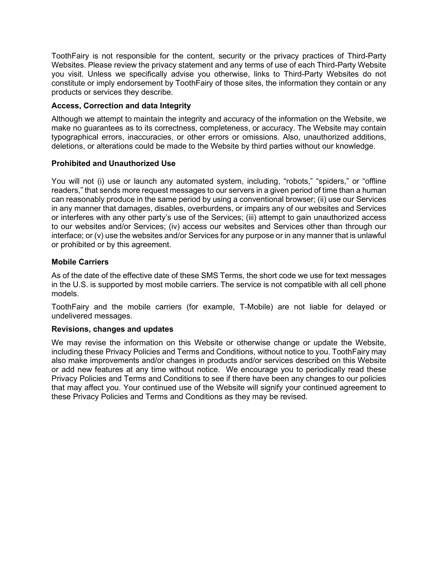ToothFairy is not responsible for the content, security or the privacy practices of Third-Party Websites. Please review the privacy statement and any terms of use of each Third-Party Website you visit. Unless we specifically advise you otherwise, links to Third-Party Websites do not constitute or imply endorsement by ToothFairy of those sites, the information they contain or any products or services they describe.

# **Access, Correction and data Integrity**

Although we attempt to maintain the integrity and accuracy of the information on the Website, we make no guarantees as to its correctness, completeness, or accuracy. The Website may contain typographical errors, inaccuracies, or other errors or omissions. Also, unauthorized additions, deletions, or alterations could be made to the Website by third parties without our knowledge.

# **Prohibited and Unauthorized Use**

You will not (i) use or launch any automated system, including, "robots," "spiders," or "offline readers," that sends more request messages to our servers in a given period of time than a human can reasonably produce in the same period by using a conventional browser; (ii) use our Services in any manner that damages, disables, overburdens, or impairs any of our websites and Services or interferes with any other party's use of the Services; (iii) attempt to gain unauthorized access to our websites and/or Services; (iv) access our websites and Services other than through our interface; or (v) use the websites and/or Services for any purpose or in any manner that is unlawful or prohibited or by this agreement.

# **Mobile Carriers**

As of the date of the effective date of these SMS Terms, the short code we use for text messages in the U.S. is supported by most mobile carriers. The service is not compatible with all cell phone models.

ToothFairy and the mobile carriers (for example, T-Mobile) are not liable for delayed or undelivered messages.

# **Revisions, changes and updates**

We may revise the information on this Website or otherwise change or update the Website, including these Privacy Policies and Terms and Conditions, without notice to you. ToothFairy may also make improvements and/or changes in products and/or services described on this Website or add new features at any time without notice. We encourage you to periodically read these Privacy Policies and Terms and Conditions to see if there have been any changes to our policies that may affect you. Your continued use of the Website will signify your continued agreement to these Privacy Policies and Terms and Conditions as they may be revised.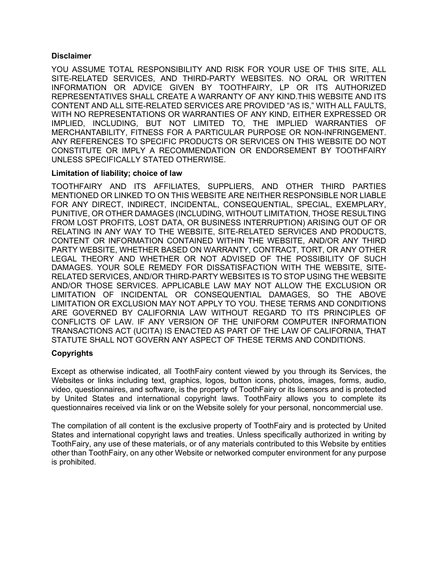## **Disclaimer**

YOU ASSUME TOTAL RESPONSIBILITY AND RISK FOR YOUR USE OF THIS SITE, ALL SITE-RELATED SERVICES, AND THIRD-PARTY WEBSITES. NO ORAL OR WRITTEN INFORMATION OR ADVICE GIVEN BY TOOTHFAIRY, LP OR ITS AUTHORIZED REPRESENTATIVES SHALL CREATE A WARRANTY OF ANY KIND.THIS WEBSITE AND ITS CONTENT AND ALL SITE-RELATED SERVICES ARE PROVIDED "AS IS," WITH ALL FAULTS, WITH NO REPRESENTATIONS OR WARRANTIES OF ANY KIND, EITHER EXPRESSED OR IMPLIED, INCLUDING, BUT NOT LIMITED TO, THE IMPLIED WARRANTIES OF MERCHANTABILITY, FITNESS FOR A PARTICULAR PURPOSE OR NON-INFRINGEMENT. ANY REFERENCES TO SPECIFIC PRODUCTS OR SERVICES ON THIS WEBSITE DO NOT CONSTITUTE OR IMPLY A RECOMMENDATION OR ENDORSEMENT BY TOOTHFAIRY UNLESS SPECIFICALLY STATED OTHERWISE.

# **Limitation of liability; choice of law**

TOOTHFAIRY AND ITS AFFILIATES, SUPPLIERS, AND OTHER THIRD PARTIES MENTIONED OR LINKED TO ON THIS WEBSITE ARE NEITHER RESPONSIBLE NOR LIABLE FOR ANY DIRECT, INDIRECT, INCIDENTAL, CONSEQUENTIAL, SPECIAL, EXEMPLARY, PUNITIVE, OR OTHER DAMAGES (INCLUDING, WITHOUT LIMITATION, THOSE RESULTING FROM LOST PROFITS, LOST DATA, OR BUSINESS INTERRUPTION) ARISING OUT OF OR RELATING IN ANY WAY TO THE WEBSITE, SITE-RELATED SERVICES AND PRODUCTS, CONTENT OR INFORMATION CONTAINED WITHIN THE WEBSITE, AND/OR ANY THIRD PARTY WEBSITE, WHETHER BASED ON WARRANTY, CONTRACT, TORT, OR ANY OTHER LEGAL THEORY AND WHETHER OR NOT ADVISED OF THE POSSIBILITY OF SUCH DAMAGES. YOUR SOLE REMEDY FOR DISSATISFACTION WITH THE WEBSITE, SITE-RELATED SERVICES, AND/OR THIRD-PARTY WEBSITES IS TO STOP USING THE WEBSITE AND/OR THOSE SERVICES. APPLICABLE LAW MAY NOT ALLOW THE EXCLUSION OR LIMITATION OF INCIDENTAL OR CONSEQUENTIAL DAMAGES, SO THE ABOVE LIMITATION OR EXCLUSION MAY NOT APPLY TO YOU. THESE TERMS AND CONDITIONS ARE GOVERNED BY CALIFORNIA LAW WITHOUT REGARD TO ITS PRINCIPLES OF CONFLICTS OF LAW. IF ANY VERSION OF THE UNIFORM COMPUTER INFORMATION TRANSACTIONS ACT (UCITA) IS ENACTED AS PART OF THE LAW OF CALIFORNIA, THAT STATUTE SHALL NOT GOVERN ANY ASPECT OF THESE TERMS AND CONDITIONS.

# **Copyrights**

Except as otherwise indicated, all ToothFairy content viewed by you through its Services, the Websites or links including text, graphics, logos, button icons, photos, images, forms, audio, video, questionnaires, and software, is the property of ToothFairy or its licensors and is protected by United States and international copyright laws. ToothFairy allows you to complete its questionnaires received via link or on the Website solely for your personal, noncommercial use.

The compilation of all content is the exclusive property of ToothFairy and is protected by United States and international copyright laws and treaties. Unless specifically authorized in writing by ToothFairy, any use of these materials, or of any materials contributed to this Website by entities other than ToothFairy, on any other Website or networked computer environment for any purpose is prohibited.